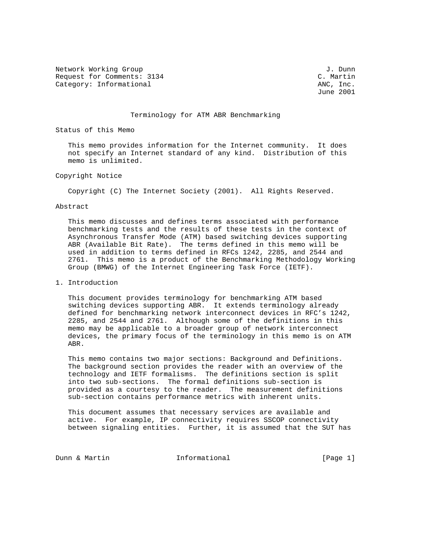Network Working Group J. Dunn Request for Comments: 3134<br>
Category: Informational Category: Informational ANC, Inc. Category: Informational

June 2001

### Terminology for ATM ABR Benchmarking

Status of this Memo

 This memo provides information for the Internet community. It does not specify an Internet standard of any kind. Distribution of this memo is unlimited.

## Copyright Notice

Copyright (C) The Internet Society (2001). All Rights Reserved.

#### Abstract

 This memo discusses and defines terms associated with performance benchmarking tests and the results of these tests in the context of Asynchronous Transfer Mode (ATM) based switching devices supporting ABR (Available Bit Rate). The terms defined in this memo will be used in addition to terms defined in RFCs 1242, 2285, and 2544 and 2761. This memo is a product of the Benchmarking Methodology Working Group (BMWG) of the Internet Engineering Task Force (IETF).

# 1. Introduction

 This document provides terminology for benchmarking ATM based switching devices supporting ABR. It extends terminology already defined for benchmarking network interconnect devices in RFC's 1242, 2285, and 2544 and 2761. Although some of the definitions in this memo may be applicable to a broader group of network interconnect devices, the primary focus of the terminology in this memo is on ATM ABR.

 This memo contains two major sections: Background and Definitions. The background section provides the reader with an overview of the technology and IETF formalisms. The definitions section is split into two sub-sections. The formal definitions sub-section is provided as a courtesy to the reader. The measurement definitions sub-section contains performance metrics with inherent units.

 This document assumes that necessary services are available and active. For example, IP connectivity requires SSCOP connectivity between signaling entities. Further, it is assumed that the SUT has

Dunn & Martin **Informational Informational** [Page 1]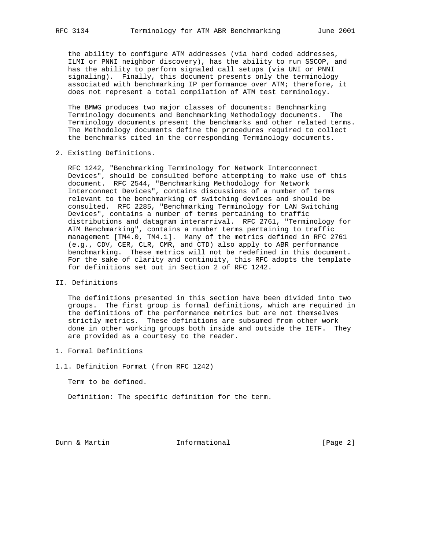the ability to configure ATM addresses (via hard coded addresses, ILMI or PNNI neighbor discovery), has the ability to run SSCOP, and has the ability to perform signaled call setups (via UNI or PNNI signaling). Finally, this document presents only the terminology associated with benchmarking IP performance over ATM; therefore, it does not represent a total compilation of ATM test terminology.

 The BMWG produces two major classes of documents: Benchmarking Terminology documents and Benchmarking Methodology documents. The Terminology documents present the benchmarks and other related terms. The Methodology documents define the procedures required to collect the benchmarks cited in the corresponding Terminology documents.

2. Existing Definitions.

 RFC 1242, "Benchmarking Terminology for Network Interconnect Devices", should be consulted before attempting to make use of this document. RFC 2544, "Benchmarking Methodology for Network Interconnect Devices", contains discussions of a number of terms relevant to the benchmarking of switching devices and should be consulted. RFC 2285, "Benchmarking Terminology for LAN Switching Devices", contains a number of terms pertaining to traffic distributions and datagram interarrival. RFC 2761, "Terminology for ATM Benchmarking", contains a number terms pertaining to traffic management [TM4.0, TM4.1]. Many of the metrics defined in RFC 2761 (e.g., CDV, CER, CLR, CMR, and CTD) also apply to ABR performance benchmarking. These metrics will not be redefined in this document. For the sake of clarity and continuity, this RFC adopts the template for definitions set out in Section 2 of RFC 1242.

II. Definitions

 The definitions presented in this section have been divided into two groups. The first group is formal definitions, which are required in the definitions of the performance metrics but are not themselves strictly metrics. These definitions are subsumed from other work done in other working groups both inside and outside the IETF. They are provided as a courtesy to the reader.

- 1. Formal Definitions
- 1.1. Definition Format (from RFC 1242)

Term to be defined.

Definition: The specific definition for the term.

Dunn & Martin **Informational Informational** [Page 2]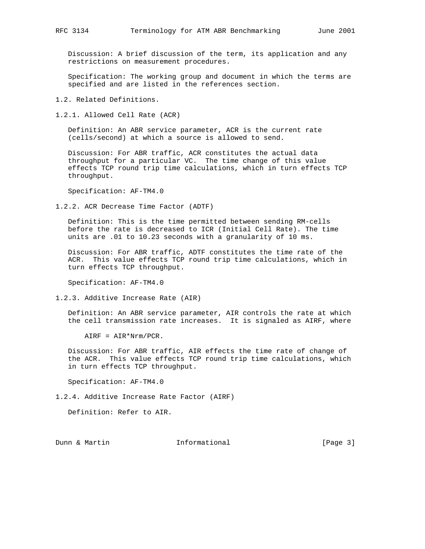Discussion: A brief discussion of the term, its application and any restrictions on measurement procedures.

 Specification: The working group and document in which the terms are specified and are listed in the references section.

1.2. Related Definitions.

1.2.1. Allowed Cell Rate (ACR)

 Definition: An ABR service parameter, ACR is the current rate (cells/second) at which a source is allowed to send.

 Discussion: For ABR traffic, ACR constitutes the actual data throughput for a particular VC. The time change of this value effects TCP round trip time calculations, which in turn effects TCP throughput.

Specification: AF-TM4.0

1.2.2. ACR Decrease Time Factor (ADTF)

 Definition: This is the time permitted between sending RM-cells before the rate is decreased to ICR (Initial Cell Rate). The time units are .01 to 10.23 seconds with a granularity of 10 ms.

 Discussion: For ABR traffic, ADTF constitutes the time rate of the ACR. This value effects TCP round trip time calculations, which in turn effects TCP throughput.

Specification: AF-TM4.0

1.2.3. Additive Increase Rate (AIR)

 Definition: An ABR service parameter, AIR controls the rate at which the cell transmission rate increases. It is signaled as AIRF, where

AIRF = AIR\*Nrm/PCR.

 Discussion: For ABR traffic, AIR effects the time rate of change of the ACR. This value effects TCP round trip time calculations, which in turn effects TCP throughput.

Specification: AF-TM4.0

1.2.4. Additive Increase Rate Factor (AIRF)

Definition: Refer to AIR.

Dunn & Martin **Informational** [Page 3]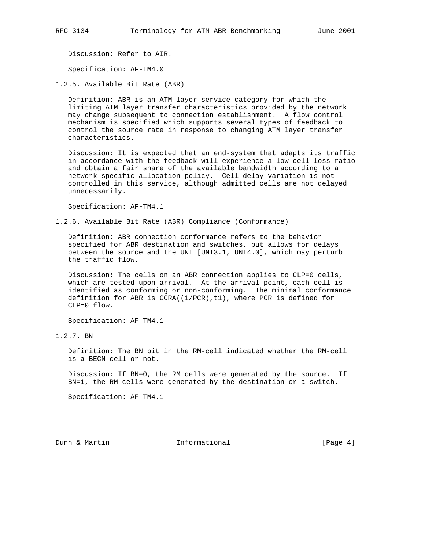Discussion: Refer to AIR.

Specification: AF-TM4.0

1.2.5. Available Bit Rate (ABR)

 Definition: ABR is an ATM layer service category for which the limiting ATM layer transfer characteristics provided by the network may change subsequent to connection establishment. A flow control mechanism is specified which supports several types of feedback to control the source rate in response to changing ATM layer transfer characteristics.

 Discussion: It is expected that an end-system that adapts its traffic in accordance with the feedback will experience a low cell loss ratio and obtain a fair share of the available bandwidth according to a network specific allocation policy. Cell delay variation is not controlled in this service, although admitted cells are not delayed unnecessarily.

Specification: AF-TM4.1

1.2.6. Available Bit Rate (ABR) Compliance (Conformance)

 Definition: ABR connection conformance refers to the behavior specified for ABR destination and switches, but allows for delays between the source and the UNI [UNI3.1, UNI4.0], which may perturb the traffic flow.

 Discussion: The cells on an ABR connection applies to CLP=0 cells, which are tested upon arrival. At the arrival point, each cell is identified as conforming or non-conforming. The minimal conformance definition for ABR is GCRA((1/PCR),t1), where PCR is defined for CLP=0 flow.

Specification: AF-TM4.1

1.2.7. BN

 Definition: The BN bit in the RM-cell indicated whether the RM-cell is a BECN cell or not.

 Discussion: If BN=0, the RM cells were generated by the source. If BN=1, the RM cells were generated by the destination or a switch.

Specification: AF-TM4.1

Dunn & Martin **Informational** [Page 4]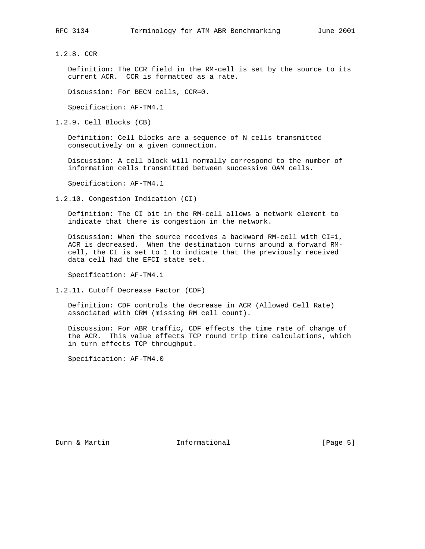1.2.8. CCR

 Definition: The CCR field in the RM-cell is set by the source to its current ACR. CCR is formatted as a rate.

Discussion: For BECN cells, CCR=0.

Specification: AF-TM4.1

1.2.9. Cell Blocks (CB)

 Definition: Cell blocks are a sequence of N cells transmitted consecutively on a given connection.

 Discussion: A cell block will normally correspond to the number of information cells transmitted between successive OAM cells.

Specification: AF-TM4.1

1.2.10. Congestion Indication (CI)

 Definition: The CI bit in the RM-cell allows a network element to indicate that there is congestion in the network.

 Discussion: When the source receives a backward RM-cell with CI=1, ACR is decreased. When the destination turns around a forward RM cell, the CI is set to 1 to indicate that the previously received data cell had the EFCI state set.

Specification: AF-TM4.1

1.2.11. Cutoff Decrease Factor (CDF)

 Definition: CDF controls the decrease in ACR (Allowed Cell Rate) associated with CRM (missing RM cell count).

 Discussion: For ABR traffic, CDF effects the time rate of change of the ACR. This value effects TCP round trip time calculations, which in turn effects TCP throughput.

Specification: AF-TM4.0

Dunn & Martin **Informational Informational** [Page 5]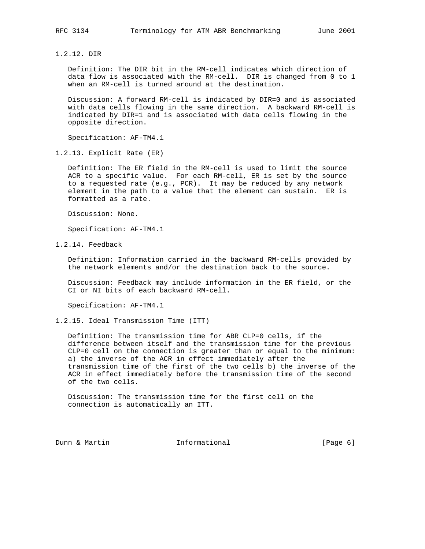1.2.12. DIR

 Definition: The DIR bit in the RM-cell indicates which direction of data flow is associated with the RM-cell. DIR is changed from 0 to 1 when an RM-cell is turned around at the destination.

 Discussion: A forward RM-cell is indicated by DIR=0 and is associated with data cells flowing in the same direction. A backward RM-cell is indicated by DIR=1 and is associated with data cells flowing in the opposite direction.

Specification: AF-TM4.1

1.2.13. Explicit Rate (ER)

 Definition: The ER field in the RM-cell is used to limit the source ACR to a specific value. For each RM-cell, ER is set by the source to a requested rate (e.g., PCR). It may be reduced by any network element in the path to a value that the element can sustain. ER is formatted as a rate.

Discussion: None.

Specification: AF-TM4.1

1.2.14. Feedback

 Definition: Information carried in the backward RM-cells provided by the network elements and/or the destination back to the source.

 Discussion: Feedback may include information in the ER field, or the CI or NI bits of each backward RM-cell.

Specification: AF-TM4.1

1.2.15. Ideal Transmission Time (ITT)

 Definition: The transmission time for ABR CLP=0 cells, if the difference between itself and the transmission time for the previous CLP=0 cell on the connection is greater than or equal to the minimum: a) the inverse of the ACR in effect immediately after the transmission time of the first of the two cells b) the inverse of the ACR in effect immediately before the transmission time of the second of the two cells.

 Discussion: The transmission time for the first cell on the connection is automatically an ITT.

Dunn & Martin **Informational Informational** [Page 6]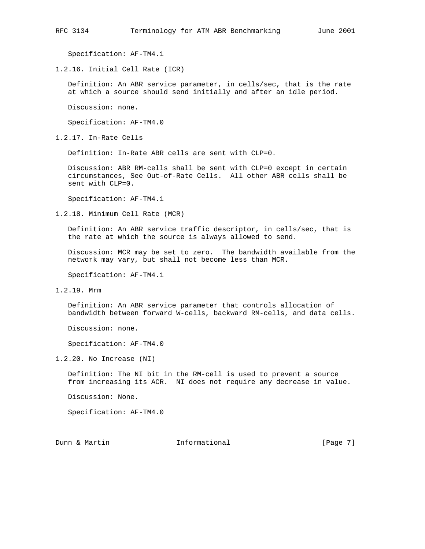Specification: AF-TM4.1

1.2.16. Initial Cell Rate (ICR)

 Definition: An ABR service parameter, in cells/sec, that is the rate at which a source should send initially and after an idle period.

Discussion: none.

Specification: AF-TM4.0

1.2.17. In-Rate Cells

Definition: In-Rate ABR cells are sent with CLP=0.

 Discussion: ABR RM-cells shall be sent with CLP=0 except in certain circumstances, See Out-of-Rate Cells. All other ABR cells shall be sent with CLP=0.

Specification: AF-TM4.1

1.2.18. Minimum Cell Rate (MCR)

 Definition: An ABR service traffic descriptor, in cells/sec, that is the rate at which the source is always allowed to send.

 Discussion: MCR may be set to zero. The bandwidth available from the network may vary, but shall not become less than MCR.

Specification: AF-TM4.1

1.2.19. Mrm

 Definition: An ABR service parameter that controls allocation of bandwidth between forward W-cells, backward RM-cells, and data cells.

Discussion: none.

Specification: AF-TM4.0

1.2.20. No Increase (NI)

 Definition: The NI bit in the RM-cell is used to prevent a source from increasing its ACR. NI does not require any decrease in value.

Discussion: None.

Specification: AF-TM4.0

Dunn & Martin **Informational Informational** [Page 7]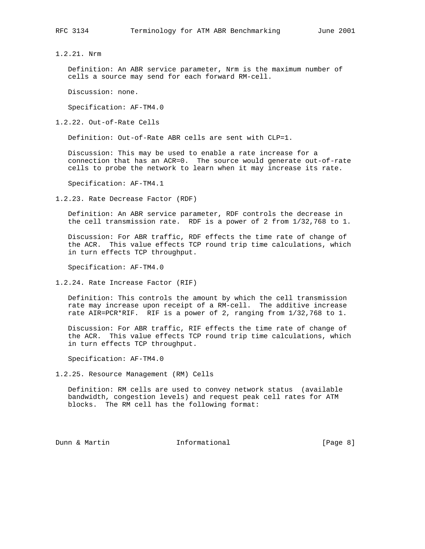1.2.21. Nrm

 Definition: An ABR service parameter, Nrm is the maximum number of cells a source may send for each forward RM-cell.

Discussion: none.

Specification: AF-TM4.0

1.2.22. Out-of-Rate Cells

Definition: Out-of-Rate ABR cells are sent with CLP=1.

 Discussion: This may be used to enable a rate increase for a connection that has an ACR=0. The source would generate out-of-rate cells to probe the network to learn when it may increase its rate.

Specification: AF-TM4.1

1.2.23. Rate Decrease Factor (RDF)

 Definition: An ABR service parameter, RDF controls the decrease in the cell transmission rate. RDF is a power of 2 from 1/32,768 to 1.

 Discussion: For ABR traffic, RDF effects the time rate of change of the ACR. This value effects TCP round trip time calculations, which in turn effects TCP throughput.

Specification: AF-TM4.0

1.2.24. Rate Increase Factor (RIF)

 Definition: This controls the amount by which the cell transmission rate may increase upon receipt of a RM-cell. The additive increase rate AIR=PCR\*RIF. RIF is a power of 2, ranging from 1/32,768 to 1.

 Discussion: For ABR traffic, RIF effects the time rate of change of the ACR. This value effects TCP round trip time calculations, which in turn effects TCP throughput.

Specification: AF-TM4.0

1.2.25. Resource Management (RM) Cells

 Definition: RM cells are used to convey network status (available bandwidth, congestion levels) and request peak cell rates for ATM blocks. The RM cell has the following format:

Dunn & Martin **Informational Informational** [Page 8]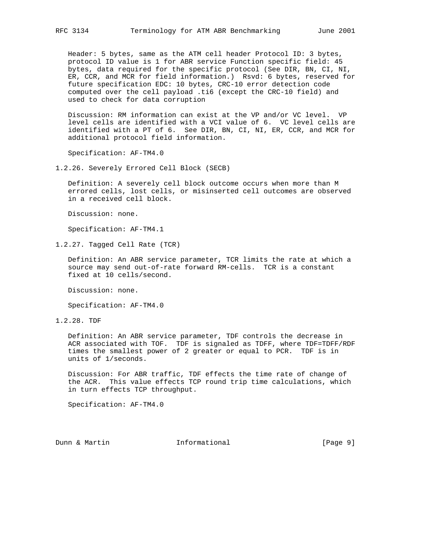Header: 5 bytes, same as the ATM cell header Protocol ID: 3 bytes, protocol ID value is 1 for ABR service Function specific field: 45 bytes, data required for the specific protocol (See DIR, BN, CI, NI, ER, CCR, and MCR for field information.) Rsvd: 6 bytes, reserved for future specification EDC: 10 bytes, CRC-10 error detection code computed over the cell payload .ti6 (except the CRC-10 field) and used to check for data corruption

 Discussion: RM information can exist at the VP and/or VC level. VP level cells are identified with a VCI value of 6. VC level cells are identified with a PT of 6. See DIR, BN, CI, NI, ER, CCR, and MCR for additional protocol field information.

Specification: AF-TM4.0

1.2.26. Severely Errored Cell Block (SECB)

 Definition: A severely cell block outcome occurs when more than M errored cells, lost cells, or misinserted cell outcomes are observed in a received cell block.

Discussion: none.

Specification: AF-TM4.1

1.2.27. Tagged Cell Rate (TCR)

 Definition: An ABR service parameter, TCR limits the rate at which a source may send out-of-rate forward RM-cells. TCR is a constant fixed at 10 cells/second.

Discussion: none.

Specification: AF-TM4.0

1.2.28. TDF

 Definition: An ABR service parameter, TDF controls the decrease in ACR associated with TOF. TDF is signaled as TDFF, where TDF=TDFF/RDF times the smallest power of 2 greater or equal to PCR. TDF is in units of 1/seconds.

 Discussion: For ABR traffic, TDF effects the time rate of change of the ACR. This value effects TCP round trip time calculations, which in turn effects TCP throughput.

Specification: AF-TM4.0

Dunn & Martin **Informational Informational** [Page 9]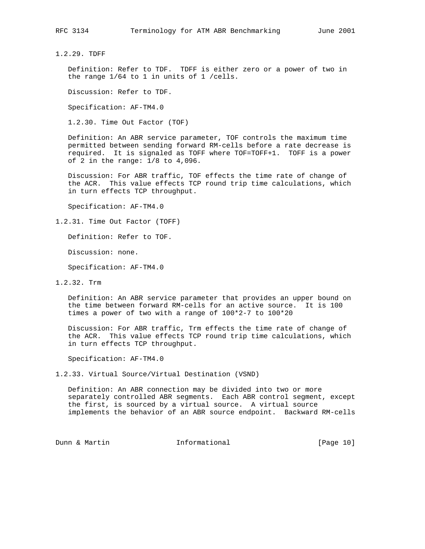1.2.29. TDFF

 Definition: Refer to TDF. TDFF is either zero or a power of two in the range 1/64 to 1 in units of 1 /cells.

Discussion: Refer to TDF.

Specification: AF-TM4.0

1.2.30. Time Out Factor (TOF)

 Definition: An ABR service parameter, TOF controls the maximum time permitted between sending forward RM-cells before a rate decrease is required. It is signaled as TOFF where TOF=TOFF+1. TOFF is a power of 2 in the range: 1/8 to 4,096.

 Discussion: For ABR traffic, TOF effects the time rate of change of the ACR. This value effects TCP round trip time calculations, which in turn effects TCP throughput.

Specification: AF-TM4.0

1.2.31. Time Out Factor (TOFF)

Definition: Refer to TOF.

Discussion: none.

Specification: AF-TM4.0

1.2.32. Trm

 Definition: An ABR service parameter that provides an upper bound on the time between forward RM-cells for an active source. It is 100 times a power of two with a range of 100\*2-7 to 100\*20

 Discussion: For ABR traffic, Trm effects the time rate of change of the ACR. This value effects TCP round trip time calculations, which in turn effects TCP throughput.

Specification: AF-TM4.0

1.2.33. Virtual Source/Virtual Destination (VSND)

 Definition: An ABR connection may be divided into two or more separately controlled ABR segments. Each ABR control segment, except the first, is sourced by a virtual source. A virtual source implements the behavior of an ABR source endpoint. Backward RM-cells

Dunn & Martin **Informational** [Page 10]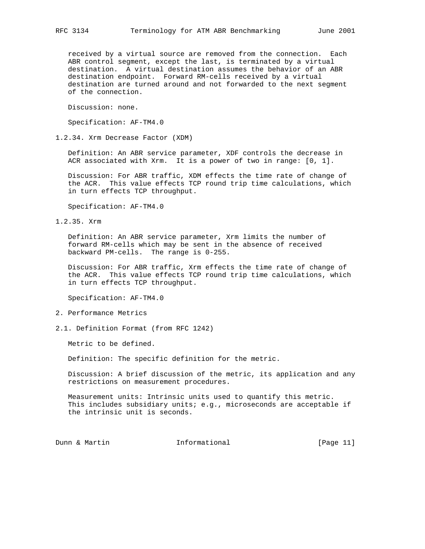received by a virtual source are removed from the connection. Each ABR control segment, except the last, is terminated by a virtual destination. A virtual destination assumes the behavior of an ABR destination endpoint. Forward RM-cells received by a virtual destination are turned around and not forwarded to the next segment of the connection.

Discussion: none.

Specification: AF-TM4.0

1.2.34. Xrm Decrease Factor (XDM)

 Definition: An ABR service parameter, XDF controls the decrease in ACR associated with Xrm. It is a power of two in range: [0, 1].

 Discussion: For ABR traffic, XDM effects the time rate of change of the ACR. This value effects TCP round trip time calculations, which in turn effects TCP throughput.

Specification: AF-TM4.0

1.2.35. Xrm

 Definition: An ABR service parameter, Xrm limits the number of forward RM-cells which may be sent in the absence of received backward PM-cells. The range is 0-255.

 Discussion: For ABR traffic, Xrm effects the time rate of change of the ACR. This value effects TCP round trip time calculations, which in turn effects TCP throughput.

Specification: AF-TM4.0

- 2. Performance Metrics
- 2.1. Definition Format (from RFC 1242)

Metric to be defined.

Definition: The specific definition for the metric.

 Discussion: A brief discussion of the metric, its application and any restrictions on measurement procedures.

 Measurement units: Intrinsic units used to quantify this metric. This includes subsidiary units; e.g., microseconds are acceptable if the intrinsic unit is seconds.

Dunn & Martin **Informational** [Page 11]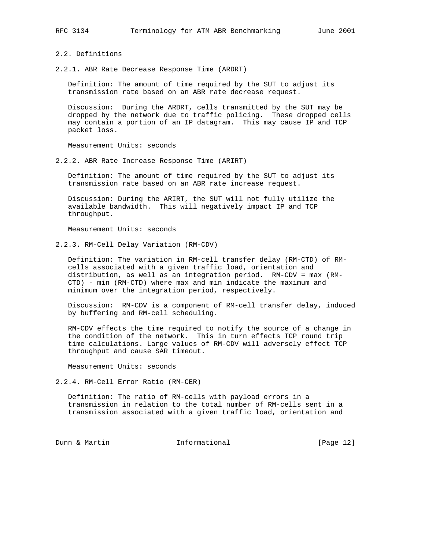- 2.2. Definitions
- 2.2.1. ABR Rate Decrease Response Time (ARDRT)

 Definition: The amount of time required by the SUT to adjust its transmission rate based on an ABR rate decrease request.

 Discussion: During the ARDRT, cells transmitted by the SUT may be dropped by the network due to traffic policing. These dropped cells may contain a portion of an IP datagram. This may cause IP and TCP packet loss.

Measurement Units: seconds

2.2.2. ABR Rate Increase Response Time (ARIRT)

 Definition: The amount of time required by the SUT to adjust its transmission rate based on an ABR rate increase request.

 Discussion: During the ARIRT, the SUT will not fully utilize the available bandwidth. This will negatively impact IP and TCP throughput.

Measurement Units: seconds

2.2.3. RM-Cell Delay Variation (RM-CDV)

 Definition: The variation in RM-cell transfer delay (RM-CTD) of RM cells associated with a given traffic load, orientation and distribution, as well as an integration period. RM-CDV = max (RM- CTD) - min (RM-CTD) where max and min indicate the maximum and minimum over the integration period, respectively.

 Discussion: RM-CDV is a component of RM-cell transfer delay, induced by buffering and RM-cell scheduling.

 RM-CDV effects the time required to notify the source of a change in the condition of the network. This in turn effects TCP round trip time calculations. Large values of RM-CDV will adversely effect TCP throughput and cause SAR timeout.

Measurement Units: seconds

2.2.4. RM-Cell Error Ratio (RM-CER)

 Definition: The ratio of RM-cells with payload errors in a transmission in relation to the total number of RM-cells sent in a transmission associated with a given traffic load, orientation and

Dunn & Martin **Informational** [Page 12]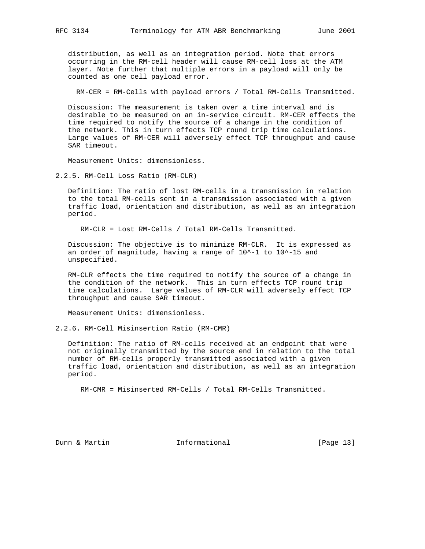distribution, as well as an integration period. Note that errors occurring in the RM-cell header will cause RM-cell loss at the ATM layer. Note further that multiple errors in a payload will only be counted as one cell payload error.

RM-CER = RM-Cells with payload errors / Total RM-Cells Transmitted.

 Discussion: The measurement is taken over a time interval and is desirable to be measured on an in-service circuit. RM-CER effects the time required to notify the source of a change in the condition of the network. This in turn effects TCP round trip time calculations. Large values of RM-CER will adversely effect TCP throughput and cause SAR timeout.

Measurement Units: dimensionless.

2.2.5. RM-Cell Loss Ratio (RM-CLR)

 Definition: The ratio of lost RM-cells in a transmission in relation to the total RM-cells sent in a transmission associated with a given traffic load, orientation and distribution, as well as an integration period.

RM-CLR = Lost RM-Cells / Total RM-Cells Transmitted.

 Discussion: The objective is to minimize RM-CLR. It is expressed as an order of magnitude, having a range of 10^-1 to 10^-15 and unspecified.

 RM-CLR effects the time required to notify the source of a change in the condition of the network. This in turn effects TCP round trip time calculations. Large values of RM-CLR will adversely effect TCP throughput and cause SAR timeout.

Measurement Units: dimensionless.

2.2.6. RM-Cell Misinsertion Ratio (RM-CMR)

 Definition: The ratio of RM-cells received at an endpoint that were not originally transmitted by the source end in relation to the total number of RM-cells properly transmitted associated with a given traffic load, orientation and distribution, as well as an integration period.

RM-CMR = Misinserted RM-Cells / Total RM-Cells Transmitted.

Dunn & Martin **Informational** [Page 13]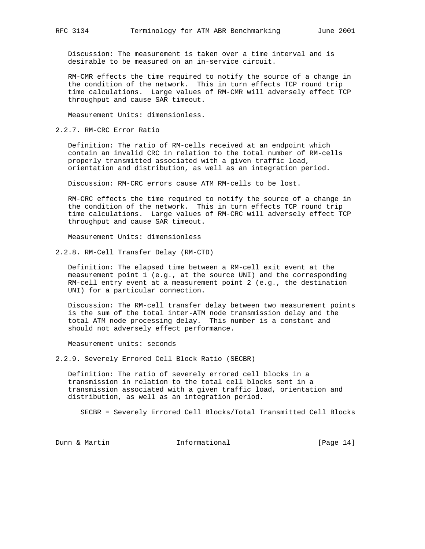Discussion: The measurement is taken over a time interval and is desirable to be measured on an in-service circuit.

 RM-CMR effects the time required to notify the source of a change in the condition of the network. This in turn effects TCP round trip time calculations. Large values of RM-CMR will adversely effect TCP throughput and cause SAR timeout.

Measurement Units: dimensionless.

2.2.7. RM-CRC Error Ratio

 Definition: The ratio of RM-cells received at an endpoint which contain an invalid CRC in relation to the total number of RM-cells properly transmitted associated with a given traffic load, orientation and distribution, as well as an integration period.

Discussion: RM-CRC errors cause ATM RM-cells to be lost.

 RM-CRC effects the time required to notify the source of a change in the condition of the network. This in turn effects TCP round trip time calculations. Large values of RM-CRC will adversely effect TCP throughput and cause SAR timeout.

Measurement Units: dimensionless

2.2.8. RM-Cell Transfer Delay (RM-CTD)

 Definition: The elapsed time between a RM-cell exit event at the measurement point 1 (e.g., at the source UNI) and the corresponding RM-cell entry event at a measurement point 2 (e.g., the destination UNI) for a particular connection.

 Discussion: The RM-cell transfer delay between two measurement points is the sum of the total inter-ATM node transmission delay and the total ATM node processing delay. This number is a constant and should not adversely effect performance.

Measurement units: seconds

2.2.9. Severely Errored Cell Block Ratio (SECBR)

 Definition: The ratio of severely errored cell blocks in a transmission in relation to the total cell blocks sent in a transmission associated with a given traffic load, orientation and distribution, as well as an integration period.

SECBR = Severely Errored Cell Blocks/Total Transmitted Cell Blocks

Dunn & Martin **Informational** [Page 14]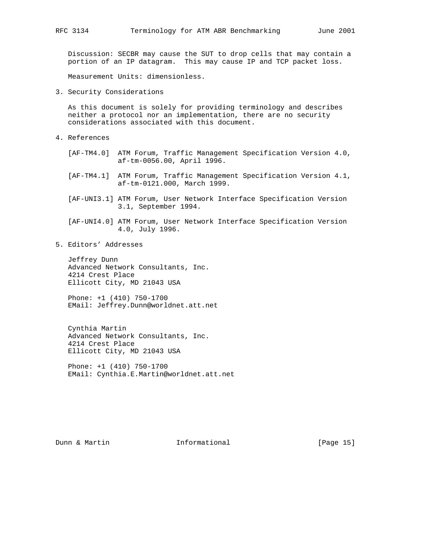Discussion: SECBR may cause the SUT to drop cells that may contain a portion of an IP datagram. This may cause IP and TCP packet loss.

Measurement Units: dimensionless.

3. Security Considerations

 As this document is solely for providing terminology and describes neither a protocol nor an implementation, there are no security considerations associated with this document.

- 4. References
	- [AF-TM4.0] ATM Forum, Traffic Management Specification Version 4.0, af-tm-0056.00, April 1996.
	- [AF-TM4.1] ATM Forum, Traffic Management Specification Version 4.1, af-tm-0121.000, March 1999.
	- [AF-UNI3.1] ATM Forum, User Network Interface Specification Version 3.1, September 1994.
	- [AF-UNI4.0] ATM Forum, User Network Interface Specification Version 4.0, July 1996.
- 5. Editors' Addresses

 Jeffrey Dunn Advanced Network Consultants, Inc. 4214 Crest Place Ellicott City, MD 21043 USA

 Phone: +1 (410) 750-1700 EMail: Jeffrey.Dunn@worldnet.att.net

 Cynthia Martin Advanced Network Consultants, Inc. 4214 Crest Place Ellicott City, MD 21043 USA

 Phone: +1 (410) 750-1700 EMail: Cynthia.E.Martin@worldnet.att.net

Dunn & Martin **Informational** [Page 15]